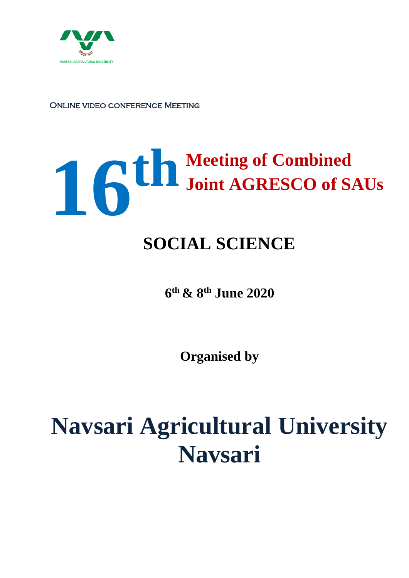

Online video conference Meeting

# **16th Meeting of Combined Joint AGRESCO of SAUs**

### **SOCIAL SCIENCE**

**6 th & 8th June 2020**

**Organised by**

## **Navsari Agricultural University Navsari**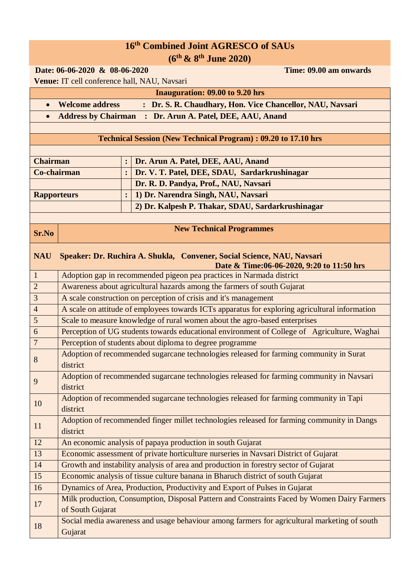#### **16th Combined Joint AGRESCO of SAUs (6 th & 8th June 2020) Date: 06-06-2020 & 08-06-2020** Time: 09.00 am onwards **Venue:** IT cell conference hall, NAU, Navsari **Inauguration: 09.00 to 9.20 hrs Welcome address : Dr. S. R. Chaudhary, Hon. Vice Chancellor, NAU, Navsari Address by Chairman : Dr. Arun A. Patel, DEE, AAU, Anand Technical Session (New Technical Program) : 09.20 to 17.10 hrs Chairman : Dr. Arun A. Patel, DEE, AAU, Anand Co-chairman : Dr. V. T. Patel, DEE, SDAU, Sardarkrushinagar Dr. R. D. Pandya, Prof., NAU, Navsari Rapporteurs : 1) Dr. Narendra Singh, NAU, Navsari 2) Dr. Kalpesh P. Thakar, SDAU, Sardarkrushinagar Sr.No New Technical Programmes NAU Speaker: Dr. Ruchira A. Shukla, Convener, Social Science, NAU, Navsari Date & Time:06-06-2020, 9:20 to 11:50 hrs** 1 Adoption gap in recommended pigeon pea practices in Narmada district 2 Awareness about agricultural hazards among the farmers of south Gujarat 3 A scale construction on perception of crisis and it's management 4 A scale on attitude of employees towards ICTs apparatus for exploring agricultural information 5 Scale to measure knowledge of rural women about the agro-based enterprises 6 Perception of UG students towards educational environment of College of Agriculture, Waghai 7 Perception of students about diploma to degree programme 8 Adoption of recommended sugarcane technologies released for farming community in Surat district  $\overline{Q}$ Adoption of recommended sugarcane technologies released for farming community in Navsari district 10 Adoption of recommended sugarcane technologies released for farming community in Tapi district 11 Adoption of recommended finger millet technologies released for farming community in Dangs district 12 An economic analysis of papaya production in south Gujarat 13 Economic assessment of private horticulture nurseries in Navsari District of Gujarat 14 Growth and instability analysis of area and production in forestry sector of Gujarat 15 Economic analysis of tissue culture banana in Bharuch district of south Gujarat 16 Dynamics of Area, Production, Productivity and Export of Pulses in Gujarat 17 Milk production, Consumption, Disposal Pattern and Constraints Faced by Women Dairy Farmers of South Gujarat **18** Social media awareness and usage behaviour among farmers for agricultural marketing of south

Gujarat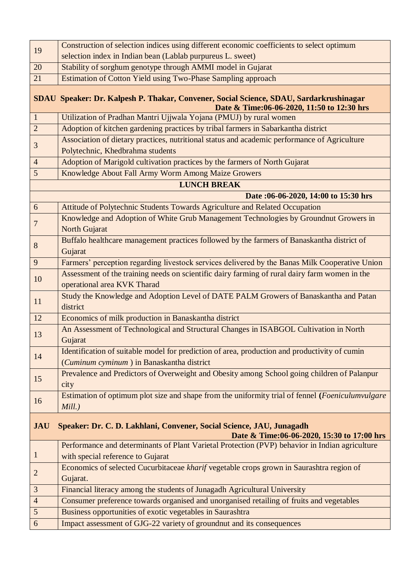| 19                 | Construction of selection indices using different economic coefficients to select optimum                                                  |  |
|--------------------|--------------------------------------------------------------------------------------------------------------------------------------------|--|
|                    | selection index in Indian bean (Lablab purpureus L. sweet)                                                                                 |  |
| 20                 | Stability of sorghum genotype through AMMI model in Gujarat                                                                                |  |
| 21                 | Estimation of Cotton Yield using Two-Phase Sampling approach                                                                               |  |
|                    | SDAU Speaker: Dr. Kalpesh P. Thakar, Convener, Social Science, SDAU, Sardarkrushinagar<br>Date & Time:06-06-2020, 11:50 to 12:30 hrs       |  |
| $\mathbf{1}$       | Utilization of Pradhan Mantri Ujjwala Yojana (PMUJ) by rural women                                                                         |  |
| $\overline{2}$     | Adoption of kitchen gardening practices by tribal farmers in Sabarkantha district                                                          |  |
| 3                  | Association of dietary practices, nutritional status and academic performance of Agriculture                                               |  |
|                    | Polytechnic, Khedbrahma students                                                                                                           |  |
| $\overline{4}$     | Adoption of Marigold cultivation practices by the farmers of North Gujarat                                                                 |  |
| 5                  | Knowledge About Fall Army Worm Among Maize Growers                                                                                         |  |
| <b>LUNCH BREAK</b> |                                                                                                                                            |  |
|                    | Date:06-06-2020, 14:00 to 15:30 hrs                                                                                                        |  |
| 6                  | Attitude of Polytechnic Students Towards Agriculture and Related Occupation                                                                |  |
| 7                  | Knowledge and Adoption of White Grub Management Technologies by Groundnut Growers in<br>North Gujarat                                      |  |
| 8                  | Buffalo healthcare management practices followed by the farmers of Banaskantha district of<br>Gujarat                                      |  |
| 9                  | Farmers' perception regarding livestock services delivered by the Banas Milk Cooperative Union                                             |  |
|                    | Assessment of the training needs on scientific dairy farming of rural dairy farm women in the                                              |  |
| 10                 | operational area KVK Tharad                                                                                                                |  |
| 11                 | Study the Knowledge and Adoption Level of DATE PALM Growers of Banaskantha and Patan<br>district                                           |  |
| 12                 | Economics of milk production in Banaskantha district                                                                                       |  |
| 13                 | An Assessment of Technological and Structural Changes in ISABGOL Cultivation in North<br>Gujarat                                           |  |
| 14                 | Identification of suitable model for prediction of area, production and productivity of cumin<br>(Cuminum cyminum) in Banaskantha district |  |
| 15                 | Prevalence and Predictors of Overweight and Obesity among School going children of Palanpur                                                |  |
|                    | city                                                                                                                                       |  |
| 16                 | Estimation of optimum plot size and shape from the uniformity trial of fennel (Foeniculumvulgare<br>$Mill.$ )                              |  |
| <b>JAU</b>         | Speaker: Dr. C. D. Lakhlani, Convener, Social Science, JAU, Junagadh<br>Date & Time:06-06-2020, 15:30 to 17:00 hrs                         |  |
|                    | Performance and determinants of Plant Varietal Protection (PVP) behavior in Indian agriculture                                             |  |
| $\mathbf{1}$       | with special reference to Gujarat                                                                                                          |  |
| $\overline{2}$     | Economics of selected Cucurbitaceae kharif vegetable crops grown in Saurashtra region of                                                   |  |
|                    | Gujarat.                                                                                                                                   |  |
| $\mathfrak{Z}$     | Financial literacy among the students of Junagadh Agricultural University                                                                  |  |
| $\overline{4}$     | Consumer preference towards organised and unorganised retailing of fruits and vegetables                                                   |  |
| 5                  | Business opportunities of exotic vegetables in Saurashtra                                                                                  |  |
| $6\,$              | Impact assessment of GJG-22 variety of groundnut and its consequences                                                                      |  |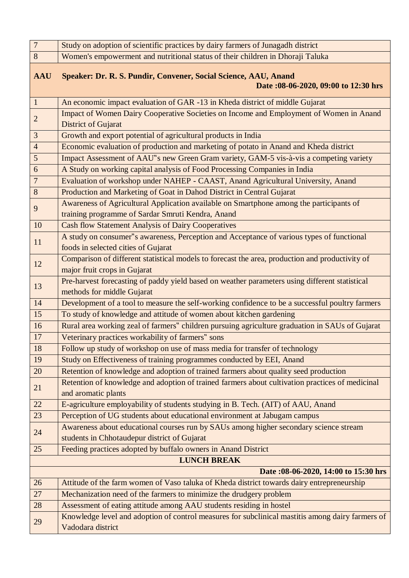| $\overline{7}$                      | Study on adoption of scientific practices by dairy farmers of Junagadh district                                                              |  |
|-------------------------------------|----------------------------------------------------------------------------------------------------------------------------------------------|--|
| $8\phantom{1}$                      | Women's empowerment and nutritional status of their children in Dhoraji Taluka                                                               |  |
| <b>AAU</b>                          | Speaker: Dr. R. S. Pundir, Convener, Social Science, AAU, Anand<br>Date:08-06-2020, 09:00 to 12:30 hrs                                       |  |
| $\mathbf{1}$                        | An economic impact evaluation of GAR -13 in Kheda district of middle Gujarat                                                                 |  |
| $\overline{2}$                      | Impact of Women Dairy Cooperative Societies on Income and Employment of Women in Anand<br><b>District of Gujarat</b>                         |  |
| $\mathfrak{Z}$                      | Growth and export potential of agricultural products in India                                                                                |  |
| $\overline{4}$                      | Economic evaluation of production and marketing of potato in Anand and Kheda district                                                        |  |
| $\sqrt{5}$                          | Impact Assessment of AAU"s new Green Gram variety, GAM-5 vis-à-vis a competing variety                                                       |  |
| 6                                   | A Study on working capital analysis of Food Processing Companies in India                                                                    |  |
| $\overline{7}$                      | Evaluation of workshop under NAHEP - CAAST, Anand Agricultural University, Anand                                                             |  |
| $\overline{8}$                      | Production and Marketing of Goat in Dahod District in Central Gujarat                                                                        |  |
| 9                                   | Awareness of Agricultural Application available on Smartphone among the participants of<br>training programme of Sardar Smruti Kendra, Anand |  |
| 10                                  | <b>Cash flow Statement Analysis of Dairy Cooperatives</b>                                                                                    |  |
| 11                                  | A study on consumer"s awareness, Perception and Acceptance of various types of functional<br>foods in selected cities of Gujarat             |  |
| 12                                  | Comparison of different statistical models to forecast the area, production and productivity of<br>major fruit crops in Gujarat              |  |
| 13                                  | Pre-harvest forecasting of paddy yield based on weather parameters using different statistical<br>methods for middle Gujarat                 |  |
| 14                                  | Development of a tool to measure the self-working confidence to be a successful poultry farmers                                              |  |
| 15                                  | To study of knowledge and attitude of women about kitchen gardening                                                                          |  |
| 16                                  | Rural area working zeal of farmers" children pursuing agriculture graduation in SAUs of Gujarat                                              |  |
| 17                                  | Veterinary practices workability of farmers" sons                                                                                            |  |
| 18                                  | Follow up study of workshop on use of mass media for transfer of technology                                                                  |  |
| 19                                  | Study on Effectiveness of training programmes conducted by EEI, Anand                                                                        |  |
| 20                                  | Retention of knowledge and adoption of trained farmers about quality seed production                                                         |  |
| 21                                  | Retention of knowledge and adoption of trained farmers about cultivation practices of medicinal<br>and aromatic plants                       |  |
| 22                                  | E-agriculture employability of students studying in B. Tech. (AIT) of AAU, Anand                                                             |  |
| 23                                  | Perception of UG students about educational environment at Jabugam campus                                                                    |  |
| 24                                  | Awareness about educational courses run by SAUs among higher secondary science stream<br>students in Chhotaudepur district of Gujarat        |  |
| 25                                  | Feeding practices adopted by buffalo owners in Anand District                                                                                |  |
| <b>LUNCH BREAK</b>                  |                                                                                                                                              |  |
| Date:08-06-2020, 14:00 to 15:30 hrs |                                                                                                                                              |  |
| 26                                  | Attitude of the farm women of Vaso taluka of Kheda district towards dairy entrepreneurship                                                   |  |
| 27                                  | Mechanization need of the farmers to minimize the drudgery problem                                                                           |  |
| 28                                  | Assessment of eating attitude among AAU students residing in hostel                                                                          |  |
| 29                                  | Knowledge level and adoption of control measures for subclinical mastitis among dairy farmers of<br>Vadodara district                        |  |